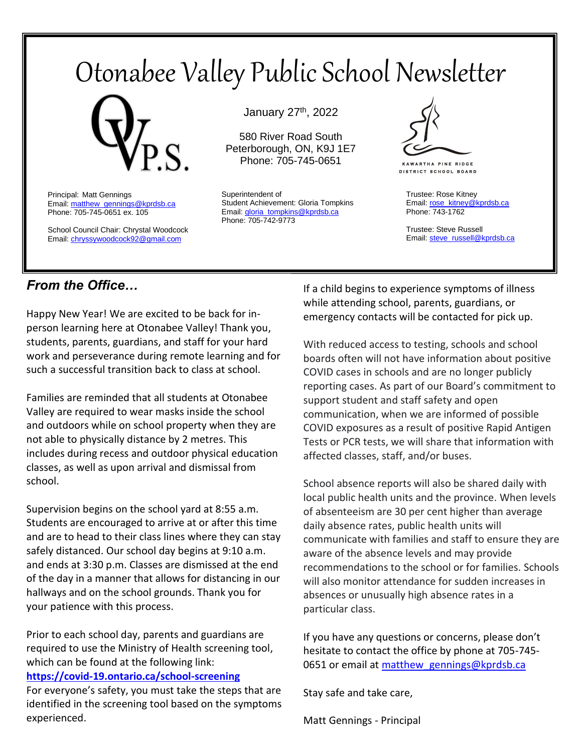# Otonabee Valley Public School Newsletter



Principal: Matt Gennings Email: matthew\_gennings@kprdsb.ca Phone: 705-745-0651 ex. 105

School Council Chair: Chrystal Woodcock Email[: chryssywoodcock92@gmail.com](mailto:chryssywoodcock92@gmail.com)

January 27th, 2022

580 River Road South Peterborough, ON, K9J 1E7 Phone: 705-745-0651

Superintendent of Student Achievement: Gloria Tompkins Email: gloria\_tompkins@kprdsb.ca Phone: 705-742-9773



**KAWARTHA PINE RIDGE DISTRICT SCHOOL BOARD** 

Trustee: Rose Kitney Email: [rose\\_kitney@kprdsb.ca](mailto:rose_kitney@kprdsb.ca) Phone: 743-1762

Trustee: Steve Russell Email: [steve\\_russell@kprdsb.ca](mailto:steve_russell@kprdsb.ca)

#### *From the Office…*

Happy New Year! We are excited to be back for inperson learning here at Otonabee Valley! Thank you, students, parents, guardians, and staff for your hard work and perseverance during remote learning and for such a successful transition back to class at school.

Families are reminded that all students at Otonabee Valley are required to wear masks inside the school and outdoors while on school property when they are not able to physically distance by 2 metres. This includes during recess and outdoor physical education classes, as well as upon arrival and dismissal from school.

Supervision begins on the school yard at 8:55 a.m. Students are encouraged to arrive at or after this time and are to head to their class lines where they can stay safely distanced. Our school day begins at 9:10 a.m. and ends at 3:30 p.m. Classes are dismissed at the end of the day in a manner that allows for distancing in our hallways and on the school grounds. Thank you for your patience with this process.

Prior to each school day, parents and guardians are required to use the Ministry of Health screening tool, which can be found at the following link: **<https://covid-19.ontario.ca/school-screening>**

For everyone's safety, you must take the steps that are identified in the screening tool based on the symptoms experienced.

If a child begins to experience symptoms of illness while attending school, parents, guardians, or emergency contacts will be contacted for pick up.

With reduced access to testing, schools and school boards often will not have information about positive COVID cases in schools and are no longer publicly reporting cases. As part of our Board's commitment to support student and staff safety and open communication, when we are informed of possible COVID exposures as a result of positive Rapid Antigen Tests or PCR tests, we will share that information with affected classes, staff, and/or buses.

School absence reports will also be shared daily with local public health units and the province. When levels of absenteeism are 30 per cent higher than average daily absence rates, public health units will communicate with families and staff to ensure they are aware of the absence levels and may provide recommendations to the school or for families. Schools will also monitor attendance for sudden increases in absences or unusually high absence rates in a particular class.

If you have any questions or concerns, please don't hesitate to contact the office by phone at 705-745- 0651 or email at matthew gennings@kprdsb.ca

Stay safe and take care,

Matt Gennings - Principal